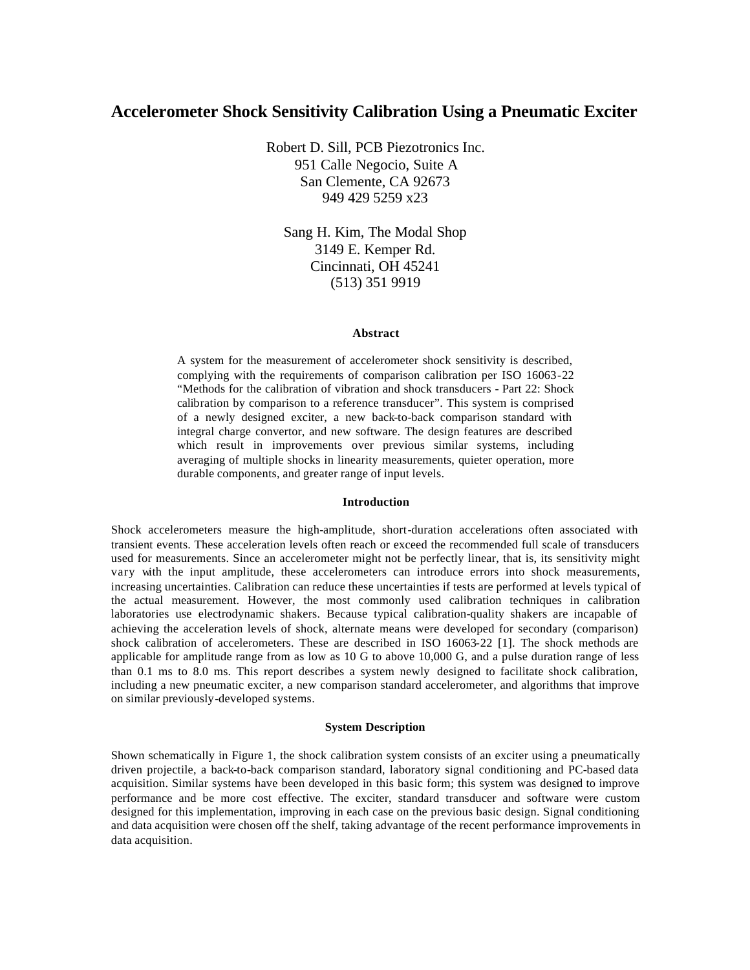# **Accelerometer Shock Sensitivity Calibration Using a Pneumatic Exciter**

Robert D. Sill, PCB Piezotronics Inc. 951 Calle Negocio, Suite A San Clemente, CA 92673 949 429 5259 x23

Sang H. Kim, The Modal Shop 3149 E. Kemper Rd. Cincinnati, OH 45241 (513) 351 9919

#### **Abstract**

A system for the measurement of accelerometer shock sensitivity is described, complying with the requirements of comparison calibration per ISO 16063-22 "Methods for the calibration of vibration and shock transducers - Part 22: Shock calibration by comparison to a reference transducer". This system is comprised of a newly designed exciter, a new back-to-back comparison standard with integral charge convertor, and new software. The design features are described which result in improvements over previous similar systems, including averaging of multiple shocks in linearity measurements, quieter operation, more durable components, and greater range of input levels.

#### **Introduction**

Shock accelerometers measure the high-amplitude, short-duration accelerations often associated with transient events. These acceleration levels often reach or exceed the recommended full scale of transducers used for measurements. Since an accelerometer might not be perfectly linear, that is, its sensitivity might vary with the input amplitude, these accelerometers can introduce errors into shock measurements, increasing uncertainties. Calibration can reduce these uncertainties if tests are performed at levels typical of the actual measurement. However, the most commonly used calibration techniques in calibration laboratories use electrodynamic shakers. Because typical calibration-quality shakers are incapable of achieving the acceleration levels of shock, alternate means were developed for secondary (comparison) shock calibration of accelerometers. These are described in ISO 16063-22 [1]. The shock methods are applicable for amplitude range from as low as 10 G to above 10,000 G, and a pulse duration range of less than 0.1 ms to 8.0 ms. This report describes a system newly designed to facilitate shock calibration, including a new pneumatic exciter, a new comparison standard accelerometer, and algorithms that improve on similar previously-developed systems.

#### **System Description**

Shown schematically in Figure 1, the shock calibration system consists of an exciter using a pneumatically driven projectile, a back-to-back comparison standard, laboratory signal conditioning and PC-based data acquisition. Similar systems have been developed in this basic form; this system was designed to improve performance and be more cost effective. The exciter, standard transducer and software were custom designed for this implementation, improving in each case on the previous basic design. Signal conditioning and data acquisition were chosen off the shelf, taking advantage of the recent performance improvements in data acquisition.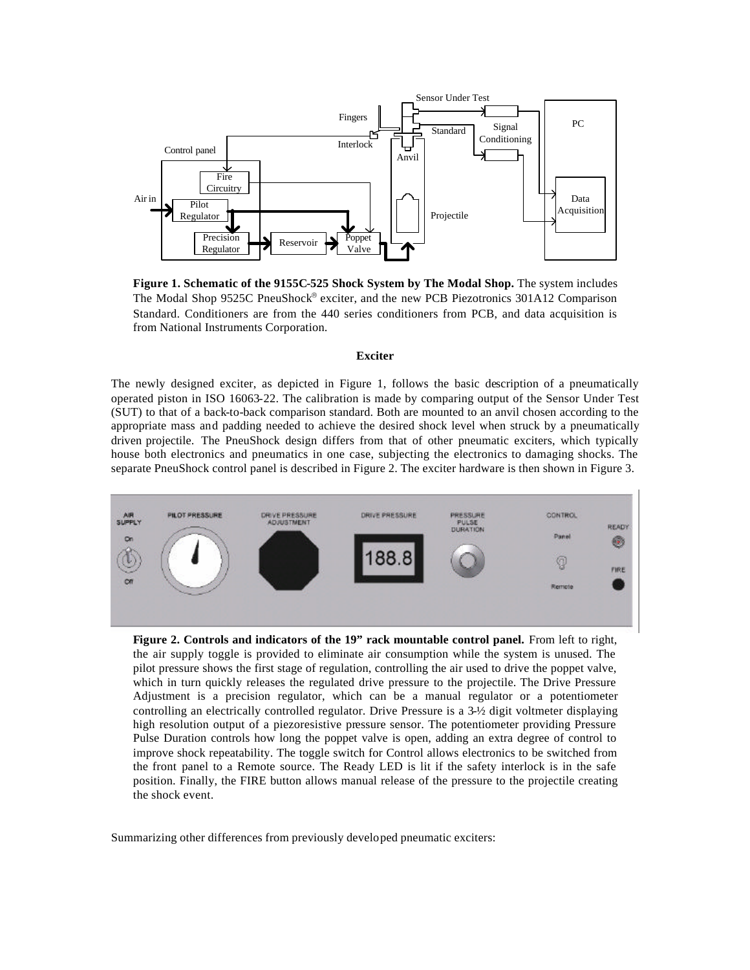

**Figure 1. Schematic of the 9155C-525 Shock System by The Modal Shop.** The system includes The Modal Shop 9525C PneuShock® exciter, and the new PCB Piezotronics 301A12 Comparison Standard. Conditioners are from the 440 series conditioners from PCB, and data acquisition is from National Instruments Corporation.

### **Exciter**

The newly designed exciter, as depicted in Figure 1, follows the basic description of a pneumatically operated piston in ISO 16063-22. The calibration is made by comparing output of the Sensor Under Test (SUT) to that of a back-to-back comparison standard. Both are mounted to an anvil chosen according to the appropriate mass and padding needed to achieve the desired shock level when struck by a pneumatically driven projectile. The PneuShock design differs from that of other pneumatic exciters, which typically house both electronics and pneumatics in one case, subjecting the electronics to damaging shocks. The separate PneuShock control panel is described in Figure 2. The exciter hardware is then shown in Figure 3.



**Figure 2. Controls and indicators of the 19" rack mountable control panel.** From left to right, the air supply toggle is provided to eliminate air consumption while the system is unused. The pilot pressure shows the first stage of regulation, controlling the air used to drive the poppet valve, which in turn quickly releases the regulated drive pressure to the projectile. The Drive Pressure Adjustment is a precision regulator, which can be a manual regulator or a potentiometer controlling an electrically controlled regulator. Drive Pressure is a 3-½ digit voltmeter displaying high resolution output of a piezoresistive pressure sensor. The potentiometer providing Pressure Pulse Duration controls how long the poppet valve is open, adding an extra degree of control to improve shock repeatability. The toggle switch for Control allows electronics to be switched from the front panel to a Remote source. The Ready LED is lit if the safety interlock is in the safe position. Finally, the FIRE button allows manual release of the pressure to the projectile creating the shock event.

Summarizing other differences from previously developed pneumatic exciters: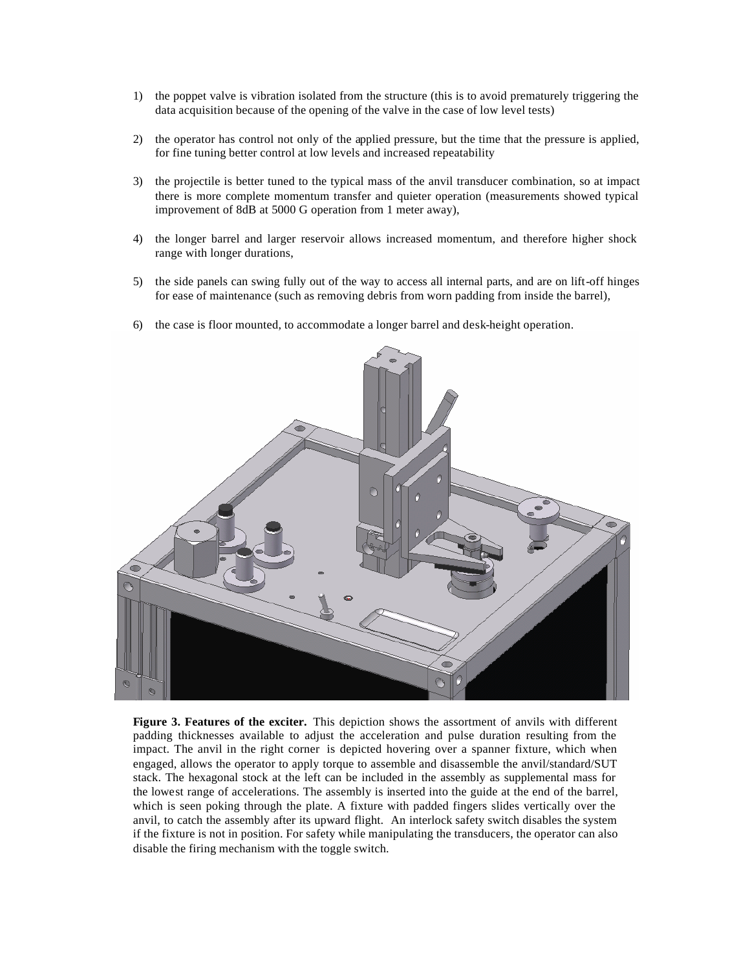- 1) the poppet valve is vibration isolated from the structure (this is to avoid prematurely triggering the data acquisition because of the opening of the valve in the case of low level tests)
- 2) the operator has control not only of the applied pressure, but the time that the pressure is applied, for fine tuning better control at low levels and increased repeatability
- 3) the projectile is better tuned to the typical mass of the anvil transducer combination, so at impact there is more complete momentum transfer and quieter operation (measurements showed typical improvement of 8dB at 5000 G operation from 1 meter away),
- 4) the longer barrel and larger reservoir allows increased momentum, and therefore higher shock range with longer durations,
- 5) the side panels can swing fully out of the way to access all internal parts, and are on lift-off hinges for ease of maintenance (such as removing debris from worn padding from inside the barrel),





**Figure 3. Features of the exciter.** This depiction shows the assortment of anvils with different padding thicknesses available to adjust the acceleration and pulse duration resulting from the impact. The anvil in the right corner is depicted hovering over a spanner fixture, which when engaged, allows the operator to apply torque to assemble and disassemble the anvil/standard/SUT stack. The hexagonal stock at the left can be included in the assembly as supplemental mass for the lowest range of accelerations. The assembly is inserted into the guide at the end of the barrel, which is seen poking through the plate. A fixture with padded fingers slides vertically over the anvil, to catch the assembly after its upward flight. An interlock safety switch disables the system if the fixture is not in position. For safety while manipulating the transducers, the operator can also disable the firing mechanism with the toggle switch.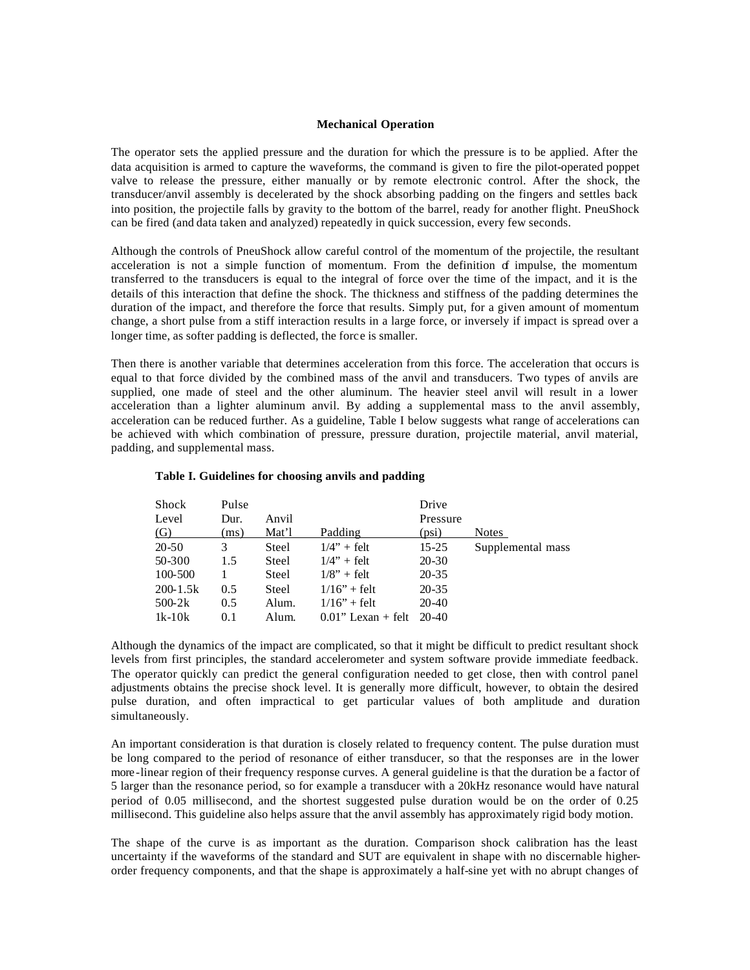## **Mechanical Operation**

The operator sets the applied pressure and the duration for which the pressure is to be applied. After the data acquisition is armed to capture the waveforms, the command is given to fire the pilot-operated poppet valve to release the pressure, either manually or by remote electronic control. After the shock, the transducer/anvil assembly is decelerated by the shock absorbing padding on the fingers and settles back into position, the projectile falls by gravity to the bottom of the barrel, ready for another flight. PneuShock can be fired (and data taken and analyzed) repeatedly in quick succession, every few seconds.

Although the controls of PneuShock allow careful control of the momentum of the projectile, the resultant acceleration is not a simple function of momentum. From the definition of impulse, the momentum transferred to the transducers is equal to the integral of force over the time of the impact, and it is the details of this interaction that define the shock. The thickness and stiffness of the padding determines the duration of the impact, and therefore the force that results. Simply put, for a given amount of momentum change, a short pulse from a stiff interaction results in a large force, or inversely if impact is spread over a longer time, as softer padding is deflected, the force is smaller.

Then there is another variable that determines acceleration from this force. The acceleration that occurs is equal to that force divided by the combined mass of the anvil and transducers. Two types of anvils are supplied, one made of steel and the other aluminum. The heavier steel anvil will result in a lower acceleration than a lighter aluminum anvil. By adding a supplemental mass to the anvil assembly, acceleration can be reduced further. As a guideline, Table I below suggests what range of accelerations can be achieved with which combination of pressure, pressure duration, projectile material, anvil material, padding, and supplemental mass.

| Shock        | Pulse |              |                       | Drive     |                   |
|--------------|-------|--------------|-----------------------|-----------|-------------------|
| Level        | Dur.  | Anvil        |                       | Pressure  |                   |
| (G)          | (ms)  | Mat'l        | Padding               | (psi)     | <b>Notes</b>      |
| 20-50        | 3     | <b>Steel</b> | $1/4" + felt$         | $15 - 25$ | Supplemental mass |
| 50-300       | 1.5   | Steel        | $1/4" + felt$         | $20 - 30$ |                   |
| 100-500      |       | Steel        | $1/8$ " + felt        | $20 - 35$ |                   |
| $200 - 1.5k$ | 0.5   | <b>Steel</b> | $1/16" + felt$        | $20 - 35$ |                   |
| $500-2k$     | 0.5   | Alum.        | $1/16" + felt$        | $20-40$   |                   |
| $1k-10k$     | 0.1   | Alum.        | $0.01$ " Lexan + felt | $20 - 40$ |                   |

## **Table I. Guidelines for choosing anvils and padding**

Although the dynamics of the impact are complicated, so that it might be difficult to predict resultant shock levels from first principles, the standard accelerometer and system software provide immediate feedback. The operator quickly can predict the general configuration needed to get close, then with control panel adjustments obtains the precise shock level. It is generally more difficult, however, to obtain the desired pulse duration, and often impractical to get particular values of both amplitude and duration simultaneously.

An important consideration is that duration is closely related to frequency content. The pulse duration must be long compared to the period of resonance of either transducer, so that the responses are in the lower more -linear region of their frequency response curves. A general guideline is that the duration be a factor of 5 larger than the resonance period, so for example a transducer with a 20kHz resonance would have natural period of 0.05 millisecond, and the shortest suggested pulse duration would be on the order of 0.25 millisecond. This guideline also helps assure that the anvil assembly has approximately rigid body motion.

The shape of the curve is as important as the duration. Comparison shock calibration has the least uncertainty if the waveforms of the standard and SUT are equivalent in shape with no discernable higherorder frequency components, and that the shape is approximately a half-sine yet with no abrupt changes of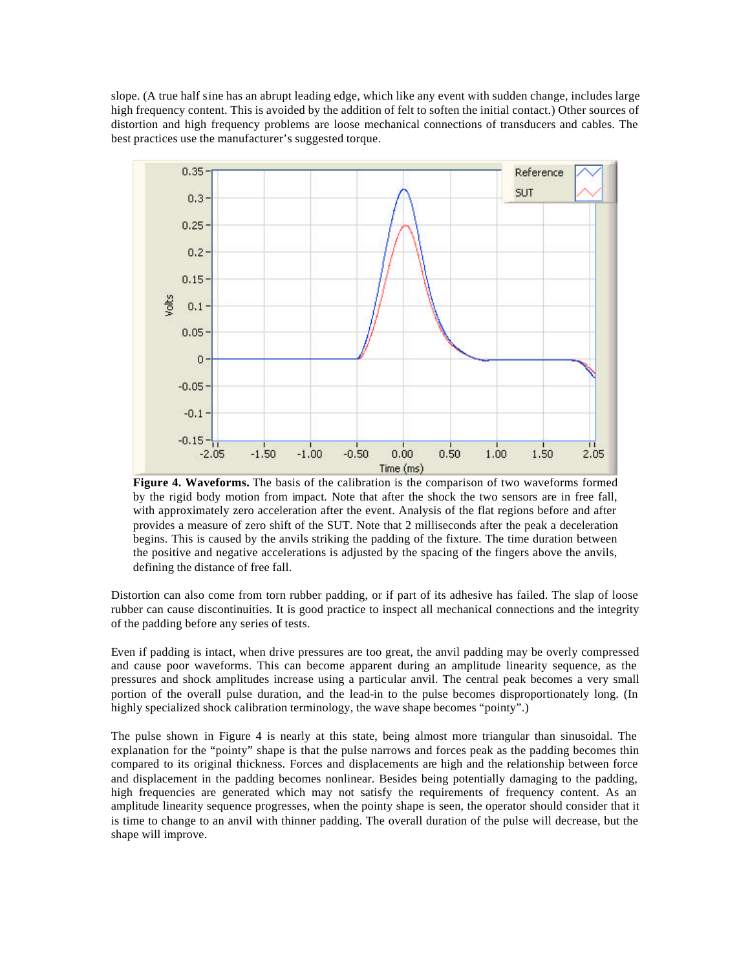slope. (A true half sine has an abrupt leading edge, which like any event with sudden change, includes large high frequency content. This is avoided by the addition of felt to soften the initial contact.) Other sources of distortion and high frequency problems are loose mechanical connections of transducers and cables. The best practices use the manufacturer's suggested torque.



**Figure 4. Waveforms.** The basis of the calibration is the comparison of two waveforms formed by the rigid body motion from impact. Note that after the shock the two sensors are in free fall, with approximately zero acceleration after the event. Analysis of the flat regions before and after provides a measure of zero shift of the SUT. Note that 2 milliseconds after the peak a deceleration begins. This is caused by the anvils striking the padding of the fixture. The time duration between the positive and negative accelerations is adjusted by the spacing of the fingers above the anvils, defining the distance of free fall.

Distortion can also come from torn rubber padding, or if part of its adhesive has failed. The slap of loose rubber can cause discontinuities. It is good practice to inspect all mechanical connections and the integrity of the padding before any series of tests.

Even if padding is intact, when drive pressures are too great, the anvil padding may be overly compressed and cause poor waveforms. This can become apparent during an amplitude linearity sequence, as the pressures and shock amplitudes increase using a particular anvil. The central peak becomes a very small portion of the overall pulse duration, and the lead-in to the pulse becomes disproportionately long. (In highly specialized shock calibration terminology, the wave shape becomes "pointy".)

The pulse shown in Figure 4 is nearly at this state, being almost more triangular than sinusoidal. The explanation for the "pointy" shape is that the pulse narrows and forces peak as the padding becomes thin compared to its original thickness. Forces and displacements are high and the relationship between force and displacement in the padding becomes nonlinear. Besides being potentially damaging to the padding, high frequencies are generated which may not satisfy the requirements of frequency content. As an amplitude linearity sequence progresses, when the pointy shape is seen, the operator should consider that it is time to change to an anvil with thinner padding. The overall duration of the pulse will decrease, but the shape will improve.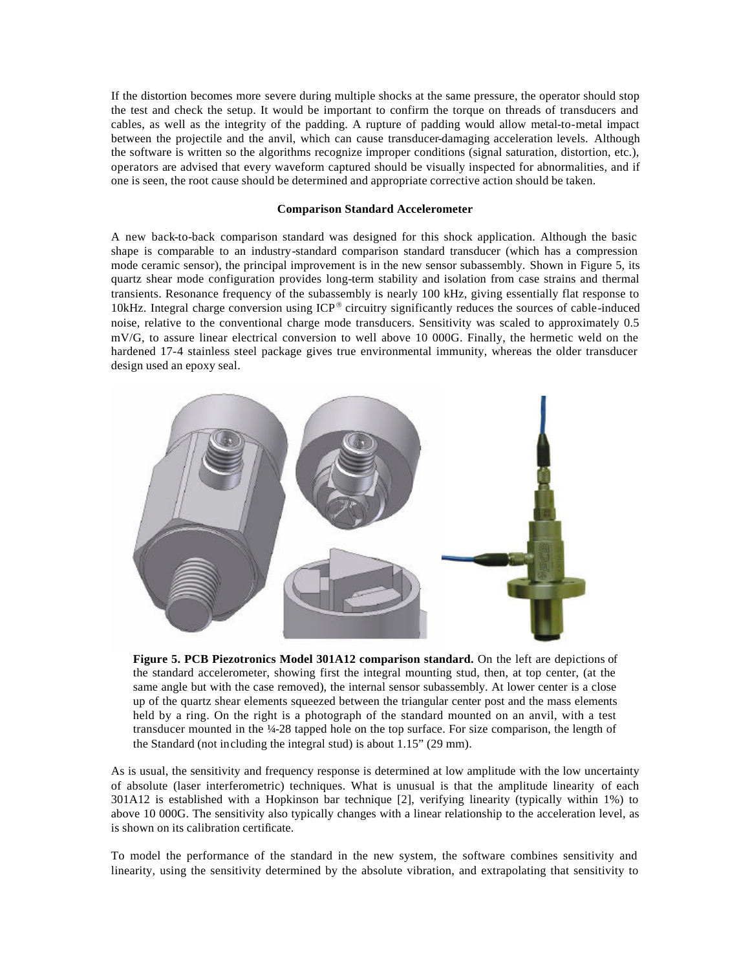If the distortion becomes more severe during multiple shocks at the same pressure, the operator should stop the test and check the setup. It would be important to confirm the torque on threads of transducers and cables, as well as the integrity of the padding. A rupture of padding would allow metal-to-metal impact between the projectile and the anvil, which can cause transducer-damaging acceleration levels. Although the software is written so the algorithms recognize improper conditions (signal saturation, distortion, etc.), operators are advised that every waveform captured should be visually inspected for abnormalities, and if one is seen, the root cause should be determined and appropriate corrective action should be taken.

## **Comparison Standard Accelerometer**

A new back-to-back comparison standard was designed for this shock application. Although the basic shape is comparable to an industry-standard comparison standard transducer (which has a compression mode ceramic sensor), the principal improvement is in the new sensor subassembly. Shown in Figure 5, its quartz shear mode configuration provides long-term stability and isolation from case strains and thermal transients. Resonance frequency of the subassembly is nearly 100 kHz, giving essentially flat response to 10kHz. Integral charge conversion using  $\text{ICP}^{\otimes}$  circuitry significantly reduces the sources of cable-induced noise, relative to the conventional charge mode transducers. Sensitivity was scaled to approximately 0.5 mV/G, to assure linear electrical conversion to well above 10 000G. Finally, the hermetic weld on the hardened 17-4 stainless steel package gives true environmental immunity, whereas the older transducer design used an epoxy seal.



**Figure 5. PCB Piezotronics Model 301A12 comparison standard.** On the left are depictions of the standard accelerometer, showing first the integral mounting stud, then, at top center, (at the same angle but with the case removed), the internal sensor subassembly. At lower center is a close up of the quartz shear elements squeezed between the triangular center post and the mass elements held by a ring. On the right is a photograph of the standard mounted on an anvil, with a test transducer mounted in the ¼-28 tapped hole on the top surface. For size comparison, the length of the Standard (not including the integral stud) is about 1.15" (29 mm).

As is usual, the sensitivity and frequency response is determined at low amplitude with the low uncertainty of absolute (laser interferometric) techniques. What is unusual is that the amplitude linearity of each 301A12 is established with a Hopkinson bar technique [2], verifying linearity (typically within 1%) to above 10 000G. The sensitivity also typically changes with a linear relationship to the acceleration level, as is shown on its calibration certificate.

To model the performance of the standard in the new system, the software combines sensitivity and linearity, using the sensitivity determined by the absolute vibration, and extrapolating that sensitivity to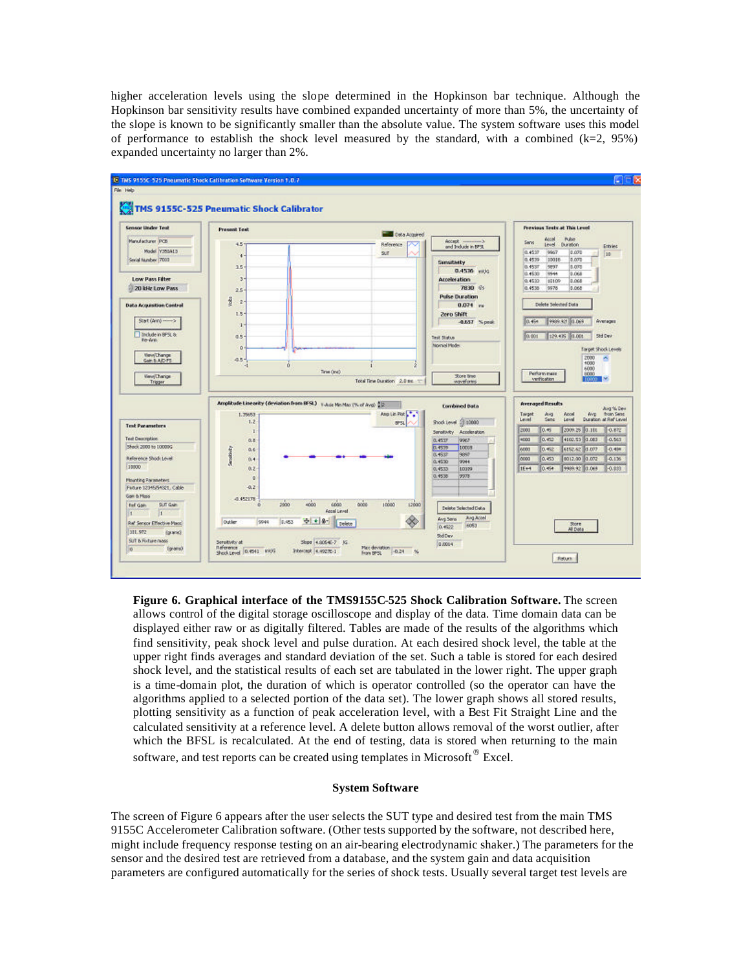higher acceleration levels using the slope determined in the Hopkinson bar technique. Although the Hopkinson bar sensitivity results have combined expanded uncertainty of more than 5%, the uncertainty of the slope is known to be significantly smaller than the absolute value. The system software uses this model of performance to establish the shock level measured by the standard, with a combined  $(k=2, 95%)$ expanded uncertainty no larger than 2%.



**Figure 6. Graphical interface of the TMS9155C-525 Shock Calibration Software.** The screen allows control of the digital storage oscilloscope and display of the data. Time domain data can be displayed either raw or as digitally filtered. Tables are made of the results of the algorithms which find sensitivity, peak shock level and pulse duration. At each desired shock level, the table at the upper right finds averages and standard deviation of the set. Such a table is stored for each desired shock level, and the statistical results of each set are tabulated in the lower right. The upper graph is a time-domain plot, the duration of which is operator controlled (so the operator can have the algorithms applied to a selected portion of the data set). The lower graph shows all stored results, plotting sensitivity as a function of peak acceleration level, with a Best Fit Straight Line and the calculated sensitivity at a reference level. A delete button allows removal of the worst outlier, after which the BFSL is recalculated. At the end of testing, data is stored when returning to the main software, and test reports can be created using templates in Microsoft  $^{\circledR}$  Excel.

# **System Software**

The screen of Figure 6 appears after the user selects the SUT type and desired test from the main TMS 9155C Accelerometer Calibration software. (Other tests supported by the software, not described here, might include frequency response testing on an air-bearing electrodynamic shaker.) The parameters for the sensor and the desired test are retrieved from a database, and the system gain and data acquisition parameters are configured automatically for the series of shock tests. Usually several target test levels are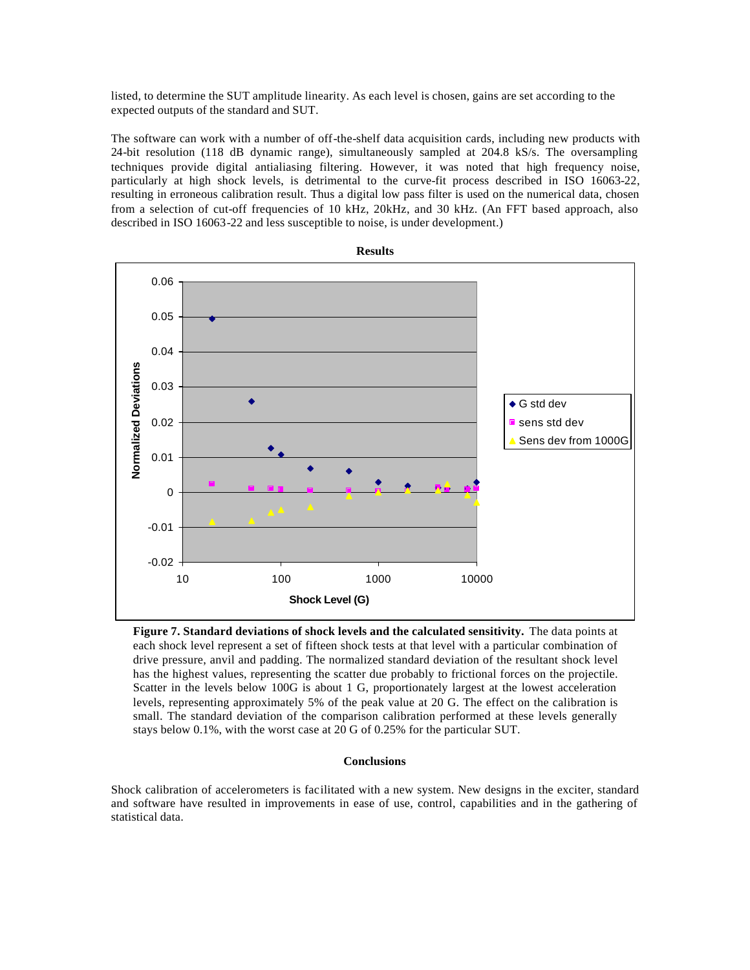listed, to determine the SUT amplitude linearity. As each level is chosen, gains are set according to the expected outputs of the standard and SUT.

The software can work with a number of off-the-shelf data acquisition cards, including new products with 24-bit resolution (118 dB dynamic range), simultaneously sampled at 204.8 kS/s. The oversampling techniques provide digital antialiasing filtering. However, it was noted that high frequency noise, particularly at high shock levels, is detrimental to the curve-fit process described in ISO 16063-22, resulting in erroneous calibration result. Thus a digital low pass filter is used on the numerical data, chosen from a selection of cut-off frequencies of 10 kHz, 20kHz, and 30 kHz. (An FFT based approach, also described in ISO 16063-22 and less susceptible to noise, is under development.)



**Figure 7. Standard deviations of shock levels and the calculated sensitivity.** The data points at each shock level represent a set of fifteen shock tests at that level with a particular combination of drive pressure, anvil and padding. The normalized standard deviation of the resultant shock level has the highest values, representing the scatter due probably to frictional forces on the projectile. Scatter in the levels below 100G is about 1 G, proportionately largest at the lowest acceleration levels, representing approximately 5% of the peak value at 20 G. The effect on the calibration is small. The standard deviation of the comparison calibration performed at these levels generally stays below 0.1%, with the worst case at 20 G of 0.25% for the particular SUT.

# **Conclusions**

Shock calibration of accelerometers is facilitated with a new system. New designs in the exciter, standard and software have resulted in improvements in ease of use, control, capabilities and in the gathering of statistical data.